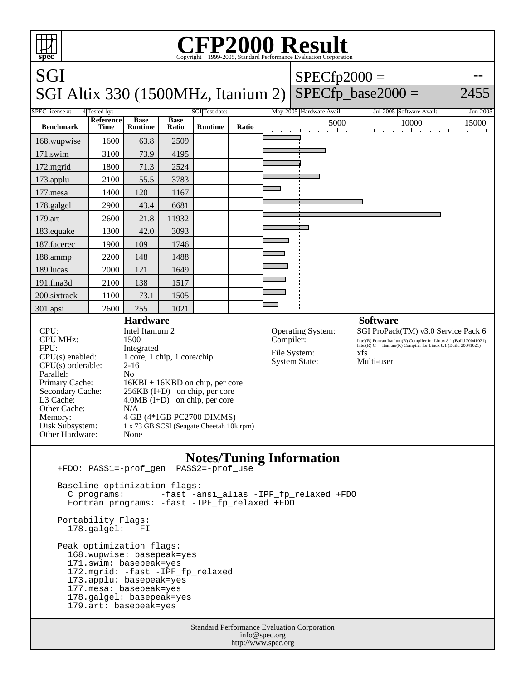| <b>CFP2000 Result</b><br>Copyright ©1999-2005, Standard Performance Evaluation Corporation<br>spec                                                                                                                                                                     |                          |                               |                                                                                                                                             |                |       |                                                                                                                                                                                                                                                                                                 |                          |                                     |             |
|------------------------------------------------------------------------------------------------------------------------------------------------------------------------------------------------------------------------------------------------------------------------|--------------------------|-------------------------------|---------------------------------------------------------------------------------------------------------------------------------------------|----------------|-------|-------------------------------------------------------------------------------------------------------------------------------------------------------------------------------------------------------------------------------------------------------------------------------------------------|--------------------------|-------------------------------------|-------------|
| SGI                                                                                                                                                                                                                                                                    |                          |                               |                                                                                                                                             |                |       |                                                                                                                                                                                                                                                                                                 | $SPECfp2000 =$           |                                     |             |
| $SPECfp\_base2000 =$<br>SGI Altix 330 (1500MHz, Itanium 2)<br>2455                                                                                                                                                                                                     |                          |                               |                                                                                                                                             |                |       |                                                                                                                                                                                                                                                                                                 |                          |                                     |             |
| SPEC license #:<br>SGI Test date:<br>4 Tested by:                                                                                                                                                                                                                      |                          |                               |                                                                                                                                             |                |       |                                                                                                                                                                                                                                                                                                 | May-2005 Hardware Avail: | Jul-2005 Software Avail:            | Jun-2005    |
| <b>Benchmark</b>                                                                                                                                                                                                                                                       | <b>Reference</b><br>Time | <b>Base</b><br><b>Runtime</b> | <b>Base</b><br>Ratio                                                                                                                        | <b>Runtime</b> | Ratio |                                                                                                                                                                                                                                                                                                 | 5000                     | 10000<br>$\sim 100$<br>$\mathbf{I}$ | 15000<br>л. |
| 168.wupwise                                                                                                                                                                                                                                                            | 1600                     | 63.8                          | 2509                                                                                                                                        |                |       |                                                                                                                                                                                                                                                                                                 |                          |                                     |             |
| 171.swim                                                                                                                                                                                                                                                               | 3100                     | 73.9                          | 4195                                                                                                                                        |                |       |                                                                                                                                                                                                                                                                                                 |                          |                                     |             |
| 172.mgrid                                                                                                                                                                                                                                                              | 1800                     | 71.3                          | 2524                                                                                                                                        |                |       |                                                                                                                                                                                                                                                                                                 |                          |                                     |             |
| 173.applu                                                                                                                                                                                                                                                              | 2100                     | 55.5                          | 3783                                                                                                                                        |                |       |                                                                                                                                                                                                                                                                                                 |                          |                                     |             |
| 177.mesa                                                                                                                                                                                                                                                               | 1400                     | 120                           | 1167                                                                                                                                        |                |       |                                                                                                                                                                                                                                                                                                 |                          |                                     |             |
| 178.galgel                                                                                                                                                                                                                                                             | 2900                     | 43.4                          | 6681                                                                                                                                        |                |       |                                                                                                                                                                                                                                                                                                 |                          |                                     |             |
| 179.art                                                                                                                                                                                                                                                                | 2600                     | 21.8                          | 11932                                                                                                                                       |                |       |                                                                                                                                                                                                                                                                                                 |                          |                                     |             |
| 183.equake                                                                                                                                                                                                                                                             | 1300                     | 42.0                          | 3093                                                                                                                                        |                |       |                                                                                                                                                                                                                                                                                                 |                          |                                     |             |
| 187.facerec                                                                                                                                                                                                                                                            | 1900                     | 109                           | 1746                                                                                                                                        |                |       |                                                                                                                                                                                                                                                                                                 |                          |                                     |             |
| 188.ammp                                                                                                                                                                                                                                                               | 2200                     | 148                           | 1488                                                                                                                                        |                |       |                                                                                                                                                                                                                                                                                                 |                          |                                     |             |
| 189.lucas                                                                                                                                                                                                                                                              | 2000                     | 121                           | 1649                                                                                                                                        |                |       |                                                                                                                                                                                                                                                                                                 |                          |                                     |             |
| 191.fma3d                                                                                                                                                                                                                                                              | 2100                     | 138                           | 1517                                                                                                                                        |                |       |                                                                                                                                                                                                                                                                                                 |                          |                                     |             |
| 200.sixtrack                                                                                                                                                                                                                                                           | 1100                     | 73.1                          | 1505                                                                                                                                        |                |       |                                                                                                                                                                                                                                                                                                 |                          |                                     |             |
| 301.apsi                                                                                                                                                                                                                                                               | 2600                     | 255                           | 1021                                                                                                                                        |                |       |                                                                                                                                                                                                                                                                                                 |                          |                                     |             |
| <b>Hardware</b><br>Intel Itanium 2<br>CPU:<br><b>CPU MHz:</b><br>1500<br>FPU:<br>Integrated<br>$CPU(s)$ enabled:<br>1 core, 1 chip, 1 core/chip<br>$2-16$<br>$CPU(s)$ orderable:<br>N <sub>o</sub><br>Parallel:<br>Primary Cache:<br>$16KBI + 16KBD$ on chip, per core |                          |                               |                                                                                                                                             |                |       | <b>Software</b><br>Operating System:<br>SGI ProPack(TM) v3.0 Service Pack 6<br>Compiler:<br>Intel(R) Fortran Itanium(R) Compiler for Linux 8.1 (Build 20041021)<br>Intel(R) C++ Itanium(R) Compiler for Linux 8.1 (Build 20041021)<br>File System:<br>xfs<br><b>System State:</b><br>Multi-user |                          |                                     |             |
| Secondary Cache:<br>L3 Cache:<br>Other Cache:<br>N/A<br>Memory:<br>Disk Subsystem:<br>Other Hardware:<br>None                                                                                                                                                          |                          |                               | $256KB$ (I+D) on chip, per core<br>$4.0MB$ (I+D) on chip, per core<br>4 GB (4*1GB PC2700 DIMMS)<br>1 x 73 GB SCSI (Seagate Cheetah 10k rpm) |                |       |                                                                                                                                                                                                                                                                                                 |                          |                                     |             |
| <b>Notes/Tuning Information</b><br>PASS2=-prof_use<br>+FDO: PASS1=-prof_gen                                                                                                                                                                                            |                          |                               |                                                                                                                                             |                |       |                                                                                                                                                                                                                                                                                                 |                          |                                     |             |
| Baseline optimization flags:<br>-fast -ansi_alias -IPF_fp_relaxed +FDO<br>C programs:<br>Fortran programs: -fast -IPF_fp_relaxed +FDO                                                                                                                                  |                          |                               |                                                                                                                                             |                |       |                                                                                                                                                                                                                                                                                                 |                          |                                     |             |

 Portability Flags: 178.galgel: -FI

 Peak optimization flags: 168.wupwise: basepeak=yes 171.swim: basepeak=yes 172.mgrid: -fast -IPF\_fp\_relaxed 173.applu: basepeak=yes 177.mesa: basepeak=yes 178.galgel: basepeak=yes 179.art: basepeak=yes

> Standard Performance Evaluation Corporation info@spec.org http://www.spec.org